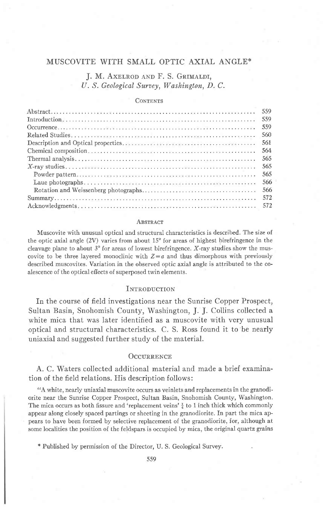# **J. M. AXELROD AND F. S. GRIMALDI,** U. S. Geological Survey, Washington, D. C.

#### **CONTENTS**

| 559  |
|------|
| 559  |
| 559  |
| 560  |
| 561  |
| 564  |
| 565  |
| 565  |
| 565  |
| 566  |
| -566 |
| 572  |
|      |

#### **ABSTRACT**

Muscovite with unusual optical and structural characteristics is described. The size of the optic axial angle  $(2V)$  varies from about 15 $^{\circ}$  for areas of highest birefringence in the cleavage plane to about  $3^{\circ}$  for areas of lowest birefringence. X-ray studies show the muscovite to be three layered monoclinic with  $Z=a$  and thus dimorphous with previously described muscovites. Variation in the observed optic axial angle is attributed to the coalescence of the optical effects of superposed twin elements.

#### **INTRODUCTION**

In the course of field investigations near the Sunrise Copper Prospect, Sultan Basin, Snohomish County, Washington, J. J. Collins collected a white mica that was later identified as a muscovite with very unusual optical and structural characteristics. C. S. Ross found it to be nearly uniaxial and suggested further study of the material.

## OCCURRENCE

A. C. Waters collected additional material and made a brief examination of the field relations. His description follows:

"A white, nearly uniaxial muscovite occurs as veinlets and replacements in the granodiorite near the Sunrise Copper Prospect, Sultan Basin, Snohomish County, Washington. The mica occurs as both fissure and 'replacement veins'  $\frac{1}{4}$  to 1 inch thick which commonly appear along closely spaced partings or sheeting in the granodiorite. fn part the mica appears to have been formed by selective replacement of the granodiorite, for, although at some localities the position of the feldspars is occupied by mica, the original quartz grains

### \* Published by permission of the Director, U. S. Geological Survey.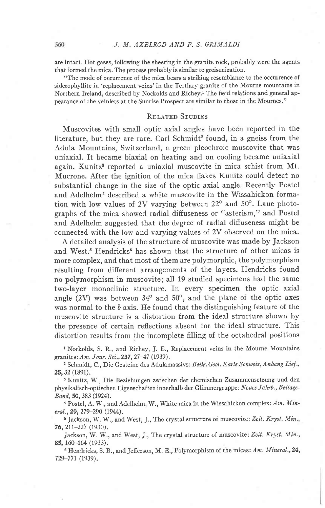are intact. Hot gases, following the sheeting in the granite rock, probably were the agents that formed the mica. The process probably is similar to greisenization.

"The mode of occurrence of the mica bears a striking resemblance to the occurrence of siderophyllite in 'replacement veins'in the Tertiary granite of the Mourne mountains in Northern Ireland, described by Nockolds and Richey.<sup>1</sup> The field relations and general appearance of the veinlets at the Sunrise Prospect are similar to those in the Mournes."

#### RELATED STUDIES

Muscovites with small optic axial angles have been reported in the literature, but they are rare. Carl Schmidt<sup>2</sup> found, in a gneiss from the Adula Mountains, Switzerland, a green pleochroic muscovite that was uniaxial. It became biaxial on heating and on cooling became uniaxial again. Kunitz<sup>3</sup> reported a uniaxial muscovite in mica schist from Mt. Mucrone. After the ignition of the mica flakes Kunitz could detect no substantial change in the size of the optic axial angle. Recently Postel and Adelhelm<sup>4</sup> described a white muscovite in the Wissahickon formation with low values of 2V varying between  $22^{\circ}$  and  $50^{\circ}$ . Laue photographs of the mica showed radial diffuseness or "asterism," and Postel and Adelhelm suggested that the degree of radial difiuseness might be connected with the low and varying values of 2V observed on the mica.

A detailed analysis of the structure of muscovite was made by Jackson and West.<sup>5</sup> Hendricks<sup>6</sup> has shown that the structure of other micas is more complex, and that most of them are polymorphic, the polymorphism resulting from different arrangements of the layers. Hendricks found no polymorphism in muscovite; all 19 studied specimens had the same two-layer monoclinic structure. In every specimen the optic axial angle  $(2V)$  was between  $34^{\circ}$  and  $50^{\circ}$ , and the plane of the optic axes was normal to the  $b$  axis. He found that the distinguishing feature of the muscovite structure is a distortion from the ideal structure shown by the presence of certain reflections absent for the ideal structure. This distortion results from the incomplete filling of the octahedral positions

<sup>1</sup> Nockolds, S. R., and Richey, J. E., Replacement veins in the Mourne Mountains granites: Am. Jour. Sci., 237, 27-47 (1939).

<sup>2</sup> Schmidt, C., Die Gesteine des Adulamassivs: Beitr. Geol. Karte Schweiz, Anhang Lief., 25, 32 (1891).

3 Kunitz, W., Die Beziehungen zwischen der chemischen Zusammensetzung und den physikalisch-optischen Eigenschaften innerhalb der Glimmergruppe: Neues Jahrb., Beilage-Band,5O,383 (1924).

<sup>4</sup> Postel, A. W., and Adelhelm, W., White mica in the Wissahickon complex:  $Am.$  Mineral., 29, 279-290 (1944).

<sup>5</sup> Jackson, W. W., and West, J., The crystal structure of muscovite: Zeit. Kryst. Min., 76,21t-227 (1930).

Jackson, W. W., and West, J., The crystal structure of muscovite: Zeit. Kryst. Min., 85, 160-164 (1933).

 $6$  Hendricks, S. B., and Jefferson, M. E., Polymorphism of the micas: Am. Mineral., 24, 729-77r (1939).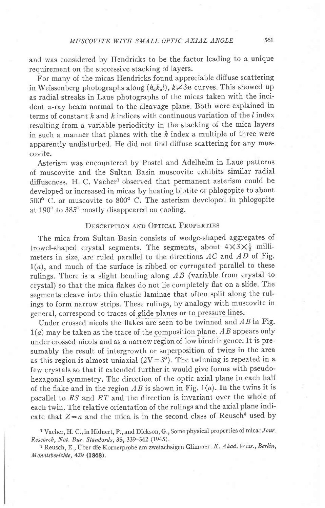and was considered by Hendricks to be the factor leading to a unique requirement on the successive stacking of layers.

For many of the micas Hendricks found appreciable diffuse scattering in Weissenberg photographs along  $(h_a k_a l)$ ,  $k \neq 3n$  curves. This showed up as radial streaks in Laue photographs of the micas taken with the incident  $x$ -ray beam normal to the cleavage plane. Both were explained in terms of constant h and h indices with continuous variation of the  $l$  index resulting from a variable periodicity in the stacking of the mica layers in such a manner that planes with the  $k$  index a multiple of three were apparently undisturbed. He did not find diffuse scattering for any muscovite.

Asterism was encountered by Postel and Adelhelm in Laue patterns of muscovite and the Sultan Basin muscovite exhibits similar radial diffuseness. H. C. Vacher<sup>7</sup> observed that permanent asterism could be developed or increased in micas by heating biotite or phlogopite to about  $500^{\circ}$  C. or muscovite to  $800^{\circ}$  C. The asterism developed in phlogopite at 190° to 385° mostly disappeared on cooling.

# DESCRIPTION AND OPTICAL PROPERTIES

The mica from Sultan Basin consists of wedge-shaped aggregates of trowel-shaped crystal segments. The segments, about  $4\times3\times\frac{1}{2}$  millimeters in size, are ruled parallel to the directions  $AC$  and  $AD$  of Fig.  $1(a)$ , and much of the surface is ribbed or corrugated parallel to these rulings. There is a slight bending along  $AB$  (variable from crystal to crystal) so that the mica flakes do not lie completely flat on a slide. The segments cleave into thin elastic laminae that often split along the rulings to form narrow strips. These rulings, by analogy with muscovite in general, correspond to traces of glide planes or to pressure lines.

Under crossed nicols the flakes are seen to be twinned and  $AB$  in Fig.  $1(a)$  may be taken as the trace of the composition plane. AB appears only under crossed nicols and as a narrow region of low birefringence. It is presumably the result of intergrowth or superposition of twins in the area as this region is almost uniaxial  $(2V=3^{\circ})$ . The twinning is repeated in a few crystals so that if extended further it would give forms with pseudohexagonal symmetry. The direction of the optic axial plane in each half of the flake and in the region  $AB$  is shown in Fig. 1(a). In the twins it is parallel to  $RS$  and  $RT$  and the direction is invariant over the whole of each twin. The relative orientation of the rulings and the axial plane indicate that  $Z = a$  and the mica is in the second class of Reusch<sup>8</sup> used by

7 Vacher, H. C., in Hidnert, P., and Dickson, G., Some physical properties of mica: Jour' Research, Nat. Bur. Standards, SS, 339-342 (1945).

<sup>8</sup> Reusch, E., Über die Kornerprobe am zweiachsigen Glimmer: K. Akad. Wiss., Berlin, M onatsberichte, 429 (1868).

561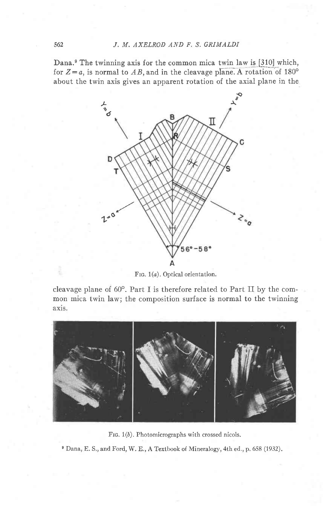Dana.<sup>9</sup> The twinning axis for the common mica twin law is  $[310]$  which, for  $Z=a$ , is normal to AB, and in the cleavage plane. A rotation of 180<sup>o</sup> about the twin axis gives an apparent rotation of the axial plane in the



FIG. 1(a). Optical orientation.

cleavage plane of  $60^\circ$ . Part I is therefore related to Part II by the common mica twin law; the composition surface is normal to the twinning axis.



FIG. 1(b). Photomicrographs with crossed nicols.

e Dana, E. S,, and Ford, W. E., A Textbook of Mineralogy, 4th ed., p. 658 (1932).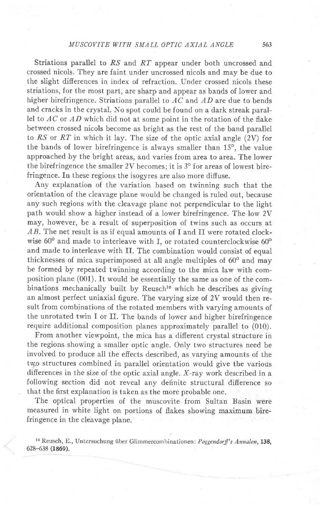Striations parallel to  $RS$  and  $RT$  appear under both uncrossed and crossed nicols. They are faint under uncrossed nicols and may be due to the slight difierences in index of refraction. Under crossed nicols these striations, for the most part, are sharp and appear as bands of lower and higher birefringence. Striations parallel to  $AC$  and  $AD$  are due to bends and cracks in the crystal. No spot could be found on a dark streak parallel to  $AC$  or  $AD$  which did not at some point in the rotation of the flake between crossed nicols become as bright as the rest of the band parallel to RS or RT in which it lay. The size of the optic axial angle  $(2V)$  for the bands of lower birefringence is always smaller than  $15^{\circ}$ , the value approached by the bright areas, and varies from area to area. The lower the birefringence the smaller 2V becomes; it is  $3^\circ$  for areas of lowest birefringence. In these regions the isogyres are also more diffuse.

Any explanation of the variation based on twinning such that the orientation of the cleavage plane would be changed is ruled out, because any such regions with the cleavage plane not perpendicular to the light path would show a higher instead of a lower birefringence. The low 2V may, however, be a result of superposition of twins such as occurs at  $AB$ . The net result is as if equal amounts of I and II were rotated clockwise  $60^{\circ}$  and made to interleave with I, or rotated counterclockwise  $60^{\circ}$ and made to interleave with II. The combination would consist of equal thicknesses of mica superimposed at all angle multiples of  $60^{\circ}$  and may be formed by repeated twinning according to the mica law with composition plane (001). It would be essentially the same as one of the combinations mechanically built by  $Result$  which he describes as giving an almost perfect uniaxial figure. The varying size of 2V would then result from combinations of the rotated members with varying amounts of the unrotated twin I or If. The bands of lower and higher birefringence require additional composition planes approximately parallel to (010).

From another viewpoint, the mica has a different crystal structure in the regions showing a smaller optic angle. Only two structures need be involved to produce all the effects described, as varying amounts of the two structures combined in parallel orientation would give the various differences in the size of the optic axial angle. X-ray work described in a following section did not reveal any definite structural difference so that the first explanation is taken as the more probable one.

The optical properties of the muscovite from Sultan Basin were measured in white light on portions of flakes showing maximum birefringence in the cleavage plane.

<sup>10</sup> Reusch, E., Untersuchung über Glimmercombinationen: Poggendorff's Annalen, 138, 628-638 (1869).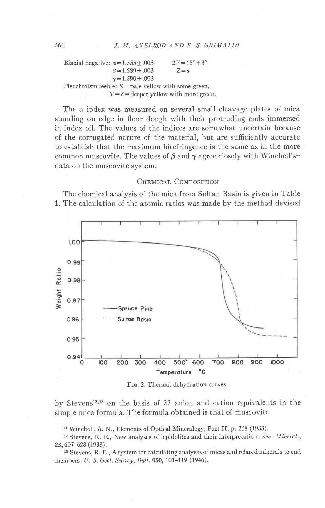Biaxial negative:  $\alpha$  = 1.555 + .003  $\beta = 1.589 \pm .003$  $\gamma = 1.590 \pm .003$ Pleochroism feeble:  $X =$  pale yellow with some green,  $Y=Z=$  deeper yellow with more green.  $2V = 15^{\circ} + 3^{\circ}$  $Z=a$ 

The  $\alpha$  index was measured on several small cleavage plates of mica standing on edge in flour dough with their protruding ends immersed in index oil. The values of the indices are somewhat uncertain because of the corrugated nature of the material, but are sufficiently accurate to establish that the maximum birefringence is the same as in the more common muscovite. The values of  $\beta$  and  $\gamma$  agree closely with Winchell's<sup>11</sup> data on the muscovite system.

## CHEMICAL COMPOSITION

The chemical analysis of the mica from Sultan Basin is given in Table 1. The calculation of the atomic ratios was made by the method devised



Frc. 2. Thermal dehydration curves.

by Stevens<sup>12,13</sup> on the basis of 22 anion and cation equivalents in the simple mica formula. The formula obtained is that of muscovite.

11 Winchell, A. N., Elements of Optical Mineralogy, Part II, p. 268 (1933).

<sup>12</sup> Stevens, R. E., New analyses of lepidolites and their interpretation: Am. Mineral., 23,607-628 (1938).

13 Stevens, R. E., A system for calculating analyses of micas and related minerals to end members: U. S. Geol. Survey, Bull. 950, 101-119 (1946).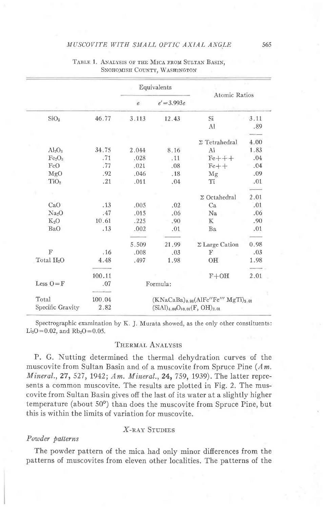|                                |        | Equivalents                                 |               |                       |      |  |
|--------------------------------|--------|---------------------------------------------|---------------|-----------------------|------|--|
|                                |        | $\epsilon$                                  | $e' = 3.993e$ | Atomic Ratios         |      |  |
| SiO <sub>2</sub>               | 46.77  | 3.113                                       | 12.43         | Si                    | 3.11 |  |
|                                |        |                                             |               | Al                    | .89  |  |
|                                |        |                                             |               |                       |      |  |
|                                |        |                                             |               | $\Sigma$ Tetrahedral  | 4.00 |  |
| $Al_2O_3$                      | 34.75  | 2.044                                       | 8.16          | A1                    | 1.83 |  |
| Fe <sub>2</sub> O <sub>3</sub> | .71    | .028                                        | .11           | $Fe + + +$            | .04  |  |
| FeO                            | .77    | .021                                        | .08           | $Fe++$                | .04  |  |
| MgO                            | .92    | .046                                        | .18           | Mg                    | .09  |  |
| TiO <sub>2</sub>               | .21    | .011                                        | .04           | Ti                    | .01  |  |
|                                |        |                                             |               |                       |      |  |
|                                |        |                                             |               | $\Sigma$ Octahedral   | 2.01 |  |
| CaO                            | .13    | .005                                        | .02           | Ca                    | .01  |  |
| Na <sub>2</sub> O              | .47    | .015                                        | .06           | N <sub>a</sub>        | .06  |  |
| $K_2O$                         | 10.61  | .225                                        | .90           | K                     | .90  |  |
| BaO                            | .13    | .002                                        | .01           | Ba                    | .01  |  |
|                                |        | 5.509                                       | 21.99         | $\Sigma$ Large Cation | 0.98 |  |
| $\mathbf F$                    | .16    | .008                                        | .03           | $\mathbf F$           | .03  |  |
| Total H <sub>2</sub> O         | 4.48   | .497                                        | 1.98          | OH                    | 1.98 |  |
|                                |        |                                             |               |                       |      |  |
|                                | 100.11 |                                             |               | $F+OH$                | 2.01 |  |
| Less $O = F$                   | .07    | Formula:                                    |               |                       |      |  |
| Total                          | 100.04 | $(KNaCaBa)_{0.98}(AlFe''Fe''' MgTi)_{2.01}$ |               |                       |      |  |
| Specific Gravity               | 2.82   | $(SiAl)_{4.00}O_{10.01}(F, OH)_{2.01}$      |               |                       |      |  |

#### TABLE 1. ANALYSIS OF THE MICA FROM SULTAN BASIN, SNOHOMISH COUNTY, WASHINGTON

Spectrographic examination by K. J. Murata showed, as the only other constituents:  $Li_2O = 0.02$ , and  $Rb_2O = 0.05$ .

## THERMAL ANALYSIS

P. G. Nutting determined the thermal dehydration curves of the muscovite from Sultan Basin and of a muscovite from Spruce Pine  $(Am, Am)$ *Mineral.*, 27, 527, 1942; Am. Mineral., 24, 759, 1939). The latter represents a common muscovite. The results are plotted in Fig. 2. The muscovite from Sultan Basin gives off the last of its water at a slightly higher temperature (about 50°) than does the muscovite from Spruce Pine, but this is within the limits of variation for muscovite.

## X-RAY STUDIES

#### Powder patterns

The powder pattern of the mica had only minor differences from the patterns of muscovites from eleven other localities. The patterns of the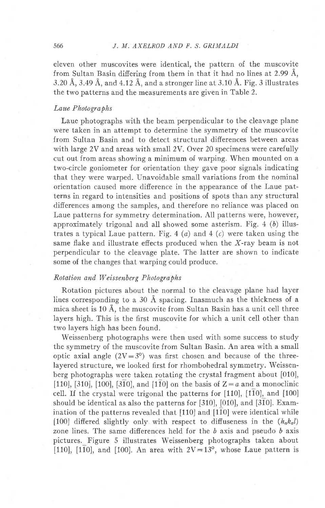eleven other muscovites were identical, the pattern of the muscovite from Sultan Basin differing from them in that it had no lines at 2.99  $\AA$ , 3.20 Å, 3.49 Å, and 4.12 Å, and a stronger line at 3.10 Å. Fig. 3 illustrates the two patterns and the measurements are given in Table 2.

## Laue Photographs

Laue photographs with the beam perpendicular to the cleavage plane were taken in an attempt to determine the symmetry of the muscovite from Sultan Basin and to detect structural differences between areas with large 2V and areas with small 2V. Over 20 specimens were carefully cut out from areas showing a minimum of warping. When mounted on a two-circle goniometer for orientation they gave poor signals indicating that they were warped. Unavoidable small variations from the nominal orientation caused more difierence in the appearance of the Laue patterns in regard to intensities and positions of spots than any structural differences among the samples, and therefore no reliance was placed on Laue patterns for symmetry determination. All patterns were, however, approximately trigonal and all showed some asterism. Fig.  $4$  (b) illustrates a typical Laue pattern. Fig. 4 (a) and 4 (c) were taken using the same flake and illustrate effects produced when the X-ray beam is not perpendicular to the cleavage plate. The latter are shown to indicate some of the changes that warping could produce.

### Rotation and Weissenberg Photographs

Rotation pictures about the normal to the cleavage plane had layer lines corresponding to a 30 A spacing. Inasmuch as the thickness of a mica sheet is 10 A, the muscovite from Sultan Basin has a unit cell three layers high. This is the first muscovite for which a unit cell other than two layers high has been found.

Weissenberg photographs were then used with some success to study the symmetry of the muscovite from Sultan Basin. An area with a small optic axial angle  $(2V=3^{\circ})$  was first chosen and because of the threelayered structure, we looked first for rhombohedral symmetry. Weissenberg photographs were taken rotating the crystal fragment about [010], [110], [310], [100], [310], and [110] on the basis of  $Z=a$  and a monoclinic cell. If the crystal were trigonal the patterns for  $[110]$ ,  $[1\overline{10}]$ , and  $[100]$ should be identical as also the patterns for [310], [010], and [310]. Examination of the patterns revealed that [110] and [110] were identical while [100] differed slightly only with respect to diffuseness in the  $(h_a k_a l)$ zone lines. The same differences held for the  $b$  axis and pseudo  $b$  axis pictures. Figure 5 illustrates Weissenberg photographs taken about [110], [110], and [100]. An area with  $2V=13^{\circ}$ , whose Laue pattern is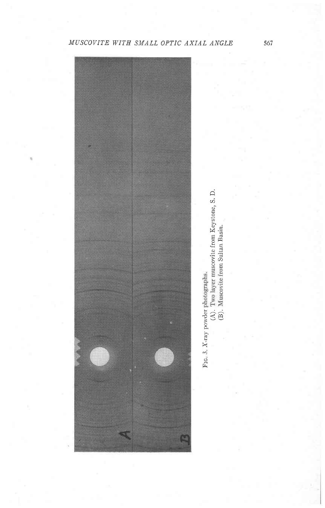



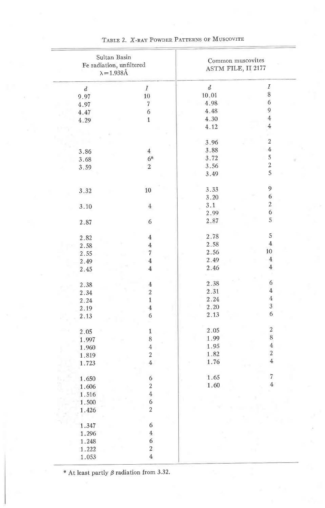| Sultan Basin<br>Fe radiation, unfiltered<br>$\lambda = 1.938 \text{\AA}$ |                  | Common muscovites<br>ASTM FILE, II 2177 |                         |  |
|--------------------------------------------------------------------------|------------------|-----------------------------------------|-------------------------|--|
| $\boldsymbol{d}$                                                         | $\boldsymbol{I}$ | $\boldsymbol{d}$                        | I                       |  |
| 9.97                                                                     | $10\,$           | 10.01                                   | $\,$ 8 $\,$             |  |
| 4.97                                                                     | $\overline{7}$   | 4.98                                    | $\boldsymbol{6}$        |  |
| 4.47                                                                     | 6                | 4.48                                    | $\overline{9}$          |  |
| 4.29                                                                     | $1\,$            | 4.30                                    | $\bf 4$                 |  |
|                                                                          |                  | 4.12                                    | $\bf 4$                 |  |
|                                                                          |                  |                                         |                         |  |
|                                                                          |                  | 3.96                                    | $\sqrt{2}$              |  |
| 3.86                                                                     | $\overline{4}$   | 3.88                                    | $\,4\,$                 |  |
| 3.68                                                                     | $6*$             | 3.72                                    | $\,$ 5 $\,$             |  |
| 3.59                                                                     | $\boldsymbol{2}$ | 3.56                                    | $\boldsymbol{2}$        |  |
|                                                                          |                  | 3.49                                    | 5                       |  |
|                                                                          |                  |                                         |                         |  |
| 3.32                                                                     | $10\,$           | 3.33                                    | $\mathbf{9}$            |  |
|                                                                          |                  | 3.20                                    | $\sqrt{6}$              |  |
| 3.10                                                                     | $4\,$            | 3.1                                     | $\,2$                   |  |
|                                                                          |                  | 2.99                                    | 6                       |  |
| 2.87                                                                     | 6                | 2.87                                    | 5                       |  |
|                                                                          |                  |                                         |                         |  |
| 2.82                                                                     | $\bf 4$          | 2.78                                    | $\,$ 5 $\,$             |  |
| 2.58                                                                     | $\overline{4}$   | 2.58                                    | $\bf{4}$                |  |
| 2.55                                                                     | $\!\!7$          | 2.56                                    | $10\,$                  |  |
| 2.49                                                                     | $\bf{4}$         | 2.49                                    | $\bf 4$                 |  |
| 2.45                                                                     | $\bf{4}$         | 2.46                                    | $\ensuremath{4}$        |  |
|                                                                          |                  |                                         | ×                       |  |
| 2.38                                                                     | $\,4\,$          | 2.38                                    | 6                       |  |
| 2.34                                                                     | $\overline{2}$   | 2.31                                    | $\ensuremath{4}$        |  |
| 2.24                                                                     | $\,1\,$          | 2.24                                    | $\bf{4}$                |  |
| 2.19                                                                     | $\,4\,$          | 2.20                                    | $\overline{3}$          |  |
| 2.13                                                                     | 6                | 2.13                                    | 6                       |  |
|                                                                          |                  |                                         |                         |  |
| 2.05                                                                     | $\,1\,$          | 2.05                                    | $\,2$                   |  |
| 1.997                                                                    | 8                | 1.99                                    | 8                       |  |
| 1.960                                                                    | $\,4\,$          | 1.95                                    | $\overline{\textbf{4}}$ |  |
| 1.819                                                                    | $\,2$            | 1.82                                    | $\sqrt{2}$              |  |
| 1.723                                                                    | $\bf 4$          | 1.76                                    | $\bf{4}$                |  |
|                                                                          |                  |                                         |                         |  |
| 1.650                                                                    | $\boldsymbol{6}$ | 1.65                                    | $\overline{7}$          |  |
| 1.606                                                                    | $\sqrt{2}$       | 1.60                                    | $\overline{4}$          |  |
| 1.516                                                                    | $\bf{4}$         |                                         |                         |  |
| 1,500                                                                    | 6                |                                         |                         |  |
| 1.426                                                                    | $\overline{c}$   |                                         |                         |  |
|                                                                          |                  |                                         |                         |  |
| 1.347                                                                    | 6                |                                         |                         |  |
| 1.296                                                                    | $\overline{4}$   |                                         |                         |  |
| 1.248                                                                    | 6                |                                         |                         |  |
| 1.222                                                                    | $\overline{2}$   |                                         |                         |  |
| 1.053                                                                    | $\overline{4}$   |                                         |                         |  |
|                                                                          |                  |                                         |                         |  |

TABLE 2. X-RAY POWDER PATTERNS OF MUSCOVITE

\* At least partly  $\beta$  radiation from 3.32.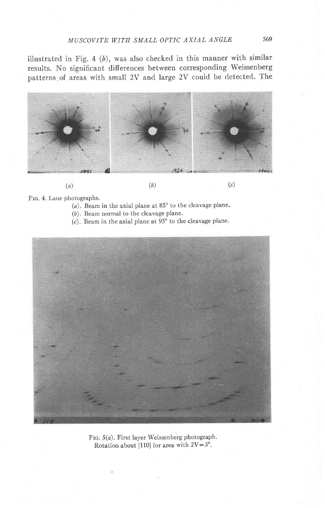illustrated in Fig. 4  $(b)$ , was also checked in this manner with similar results. No significant difierences between corresponding Weissenberg patterns of areas with small 2Y and large 2Y could be detected. The



Frc. 4. Laue photographs.

- $(a)$ . Beam in the axial plane at  $85^{\circ}$  to the cleavage plane.
- (b). Beam normal to the cleavage plane.
- (c). Beam in the axial plane at  $95^{\circ}$  to the cleavage plane.



FIG. 5(a). First layer Weissenberg photograph. Rotation about [110] for area with  $2V=3^\circ$ .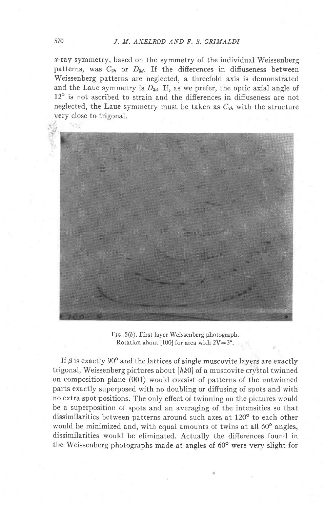x-ray symmetry, based on the symmetry of the individual Weissenberg patterns, was  $C_{2h}$  or  $D_{3d}$ . If the differences in diffuseness between Weissenberg patterns are neglected, a threefold axis is demonstrated and the Laue symmetry is  $D_{3d}$ . If, as we prefer, the optic axial angle of 12° is not ascribed to strain and the differences in diffuseness are not neglected, the Laue symmetry must be taken as  $C_{2h}$  with the structure very close to trigonal.



Ftc. 5(b). First layer Weissenberg photograph. Rotation about [100] for area with  $2V=3^\circ$ .

If  $\beta$  is exactly 90° and the lattices of single muscovite layers are exactly trigonal, Weissenberg pictures about  $[hk0]$  of a muscovite crystal twinned on composition plane (001) would corsist of patterns of the untwinned parts exactly superposed with no doubling or diffusing of spots and with no extra spot positions. The only effect of twinning on the pictures would be a superposition of spots and an averaging of the intensities so that dissimilarities between patterns around such axes at  $120^{\circ}$  to each other would be minimized and, with equal amounts of twins at all  $60^{\circ}$  angles, dissimilarities would be eliminated. Actually the differences found in the Weissenberg photographs made at angles of 60° were very slight for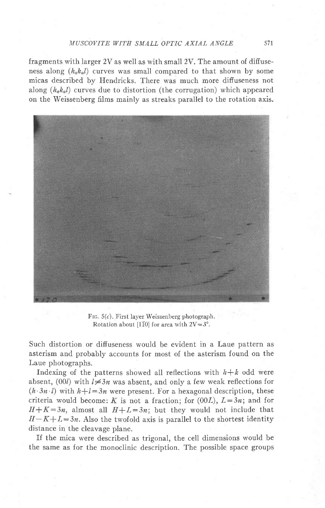fragments with larger 2V as well as with small 2V. The amount of difiuseness along  $(h_a k_a)$  curves was small compared to that shown by some micas described by Hendricks. There was much more diffuseness not along  $(h_q k_q l)$  curves due to distortion (the corrugation) which appeared on the Weissenberg films mainly as streaks parallel to the rotation axis.



FIG.  $5(c)$ . First layer Weissenberg photograph. Rotation about [1 $\overline{10}$ ] for area with  $2V=3^\circ$ .

Such distortion or diffuseness would be evident in a Laue pattern as asterism and probably accounts for most of the asterism found on the Laue photographs.

Indexing of the patterns showed all reflections with  $h+k$  odd were absent, (00l) with  $l \neq 3n$  was absent, and only a few weak reflections for  $(h \cdot 3n \cdot l)$  with  $h+l=3n$  were present. For a hexagonal description, these criteria would become: K is not a fraction; for  $(00L)$ ,  $L=3n$ ; and for  $H + K = 3n$ , almost all  $H + L = 3n$ ; but they would not include that  $H-K+L=3n$ . Also the twofold axis is parallel to the shortest identity distance in the cleavage plane.

If the mica were described as trigonal, the cell dimensions would be the same as for the monoclinic description. The possible space groups